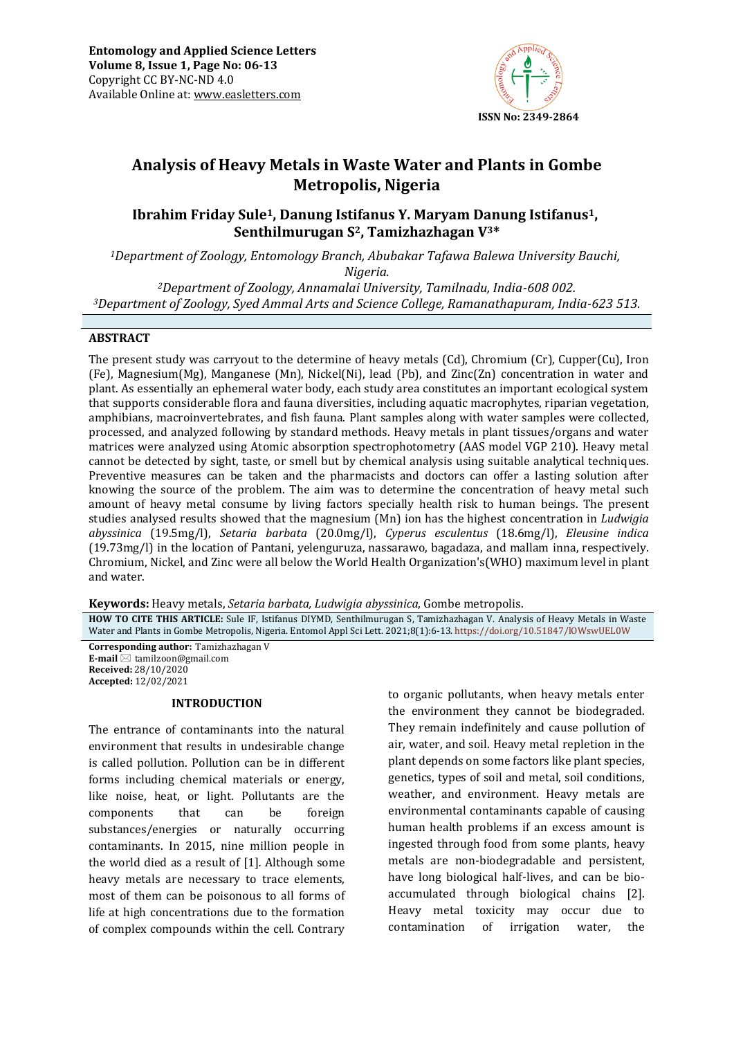

# **Analysis of Heavy Metals in Waste Water and Plants in Gombe Metropolis, Nigeria**

**Ibrahim Friday Sule1, Danung Istifanus Y. Maryam Danung Istifanus1, Senthilmurugan S2, Tamizhazhagan V3\***

*<sup>1</sup>Department of Zoology, Entomology Branch, Abubakar Tafawa Balewa University Bauchi, Nigeria.*

*<sup>2</sup>Department of Zoology, Annamalai University, Tamilnadu, India-608 002. <sup>3</sup>Department of Zoology, Syed Ammal Arts and Science College, Ramanathapuram, India-623 513.*

#### **ABSTRACT**

The present study was carryout to the determine of heavy metals (Cd), Chromium (Cr), Cupper(Cu), Iron (Fe), Magnesium(Mg), Manganese (Mn), Nickel(Ni), lead (Pb), and Zinc(Zn) concentration in water and plant. As essentially an ephemeral water body, each study area constitutes an important ecological system that supports considerable flora and fauna diversities, including aquatic macrophytes, riparian vegetation, amphibians, macroinvertebrates, and fish fauna. Plant samples along with water samples were collected, processed, and analyzed following by standard methods. Heavy metals in plant tissues/organs and water matrices were analyzed using Atomic absorption spectrophotometry (AAS model VGP 210). Heavy metal cannot be detected by sight, taste, or smell but by chemical analysis using suitable analytical techniques. Preventive measures can be taken and the pharmacists and doctors can offer a lasting solution after knowing the source of the problem. The aim was to determine the concentration of heavy metal such amount of heavy metal consume by living factors specially health risk to human beings. The present studies analysed results showed that the magnesium (Mn) ion has the highest concentration in *Ludwigia abyssinica* (19.5mg/l), *Setaria barbata* (20.0mg/l), *Cyperus esculentus* (18.6mg/l), *Eleusine indica* (19.73mg/l) in the location of Pantani, yelenguruza, nassarawo, bagadaza, and mallam inna, respectively. Chromium, Nickel, and Zinc were all below the World Health Organization's(WHO) maximum level in plant and water.

**Keywords:** Heavy metals, *Setaria barbata, Ludwigia abyssinica*, Gombe metropolis.

**HOW TO CITE THIS ARTICLE:** Sule IF, Istifanus DIYMD, Senthilmurugan S, Tamizhazhagan V. Analysis of Heavy Metals in Waste Water and Plants in Gombe Metropolis, Nigeria. Entomol Appl Sci Lett. 2021;8(1):6-13. <https://doi.org/10.51847/lOWswUEL0W>

**Corresponding author:** Tamizhazhagan V **E-mail** ⊠ [tamilzoon@gmail.com](mailto:tamilzoon@gmail.com) **Received:** 28/10/2020 **Accepted:** 12/02/2021

#### **INTRODUCTION**

The entrance of contaminants into the natural environment that results in undesirable change is called pollution. Pollution can be in different forms including chemical materials or energy, like noise, heat, or light. Pollutants are the components that can be foreign substances/energies or naturally occurring contaminants. In 2015, nine million people in the world died as a result of [1]*.* Although some heavy metals are necessary to trace elements, most of them can be poisonous to all forms of life at high concentrations due to the formation of complex compounds within the cell. Contrary

to organic pollutants, when heavy metals enter the environment they cannot be biodegraded. They remain indefinitely and cause pollution of air, water, and soil. Heavy metal repletion in the plant depends on some factors like plant species, genetics, types of soil and metal, soil conditions, weather, and environment. Heavy metals are environmental contaminants capable of causing human health problems if an excess amount is ingested through food from some plants, heavy metals are non-biodegradable and persistent, have long biological half-lives, and can be bioaccumulated through biological chains [2]. Heavy metal toxicity may occur due to contamination of irrigation water, the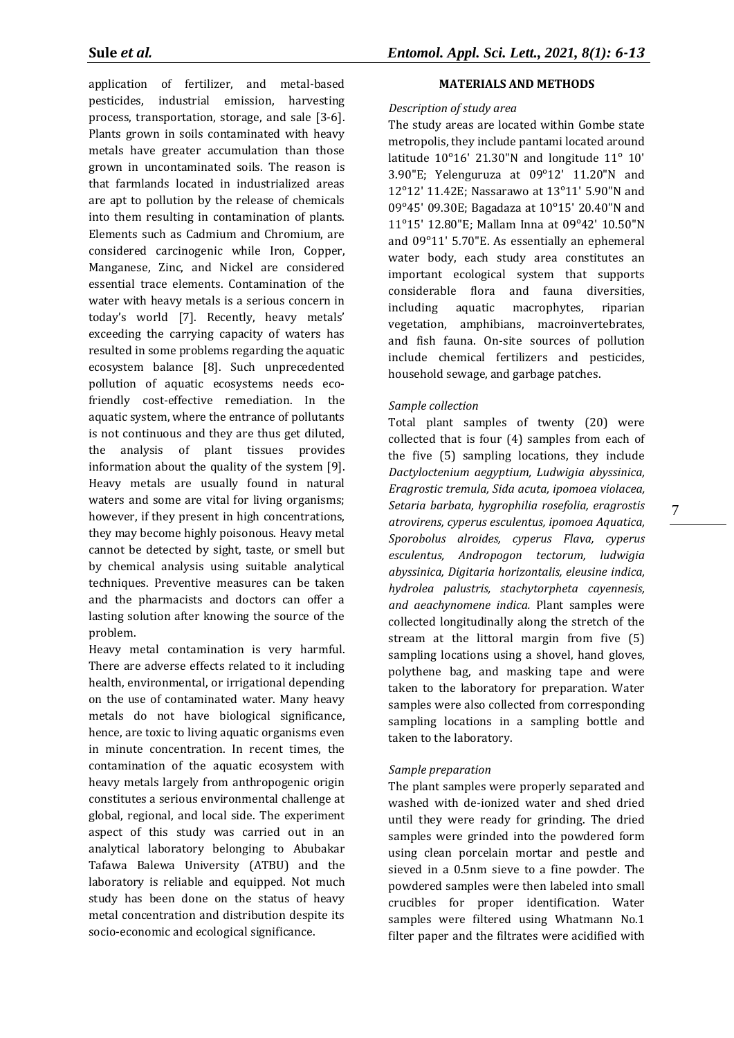application of fertilizer, and metal-based pesticides, industrial emission, harvesting process, transportation, storage, and sale [3-6]. Plants grown in soils contaminated with heavy metals have greater accumulation than those grown in uncontaminated soils. The reason is that farmlands located in industrialized areas are apt to pollution by the release of chemicals into them resulting in contamination of plants. Elements such as Cadmium and Chromium, are considered carcinogenic while Iron, Copper, Manganese, Zinc, and Nickel are considered essential trace elements. Contamination of the water with heavy metals is a serious concern in today's world [7]. Recently, heavy metals' exceeding the carrying capacity of waters has resulted in some problems regarding the aquatic ecosystem balance [8]. Such unprecedented pollution of aquatic ecosystems needs ecofriendly cost-effective remediation. In the aquatic system, where the entrance of pollutants is not continuous and they are thus get diluted, the analysis of plant tissues provides information about the quality of the system [9]. Heavy metals are usually found in natural waters and some are vital for living organisms; however, if they present in high concentrations, they may become highly poisonous. Heavy metal cannot be detected by sight, taste, or smell but by chemical analysis using suitable analytical techniques. Preventive measures can be taken and the pharmacists and doctors can offer a lasting solution after knowing the source of the problem.

Heavy metal contamination is very harmful. There are adverse effects related to it including health, environmental, or irrigational depending on the use of contaminated water. Many heavy metals do not have biological significance, hence, are toxic to living aquatic organisms even in minute concentration. In recent times, the contamination of the aquatic ecosystem with heavy metals largely from anthropogenic origin constitutes a serious environmental challenge at global, regional, and local side. The experiment aspect of this study was carried out in an analytical laboratory belonging to Abubakar Tafawa Balewa University (ATBU) and the laboratory is reliable and equipped. Not much study has been done on the status of heavy metal concentration and distribution despite its socio-economic and ecological significance.

# **MATERIALS AND METHODS**

## *Description of study area*

The study areas are located within Gombe state metropolis, they include pantami located around latitude  $10^{\circ}16'$  21.30"N and longitude  $11^{\circ}$  10' 3.90"E; Yelenguruza at  $09^{\circ}12'$  11.20"N and 12ᵒ12' 11.42E; Nassarawo at 13ᵒ11' 5.90"N and 09ᵒ45' 09.30E; Bagadaza at 10ᵒ15' 20.40"N and 11ᵒ15' 12.80"E; Mallam Inna at 09ᵒ42' 10.50"N and 09ᵒ11' 5.70"E. As essentially an ephemeral water body, each study area constitutes an important ecological system that supports considerable flora and fauna diversities, including aquatic macrophytes, riparian vegetation, amphibians, macroinvertebrates, and fish fauna. On-site sources of pollution include chemical fertilizers and pesticides, household sewage, and garbage patches.

# *Sample collection*

Total plant samples of twenty (20) were collected that is four (4) samples from each of the five (5) sampling locations, they include *Dactyloctenium aegyptium, Ludwigia abyssinica, Eragrostic tremula, Sida acuta, ipomoea violacea, Setaria barbata, hygrophilia rosefolia, eragrostis atrovirens, cyperus esculentus, ipomoea Aquatica, Sporobolus alroides, cyperus Flava, cyperus esculentus, Andropogon tectorum, ludwigia abyssinica, Digitaria horizontalis, eleusine indica, hydrolea palustris, stachytorpheta cayennesis, and aeachynomene indica.* Plant samples were collected longitudinally along the stretch of the stream at the littoral margin from five (5) sampling locations using a shovel, hand gloves, polythene bag, and masking tape and were taken to the laboratory for preparation. Water samples were also collected from corresponding sampling locations in a sampling bottle and taken to the laboratory.

# *Sample preparation*

The plant samples were properly separated and washed with de-ionized water and shed dried until they were ready for grinding. The dried samples were grinded into the powdered form using clean porcelain mortar and pestle and sieved in a 0.5nm sieve to a fine powder. The powdered samples were then labeled into small crucibles for proper identification. Water samples were filtered using Whatmann No.1 filter paper and the filtrates were acidified with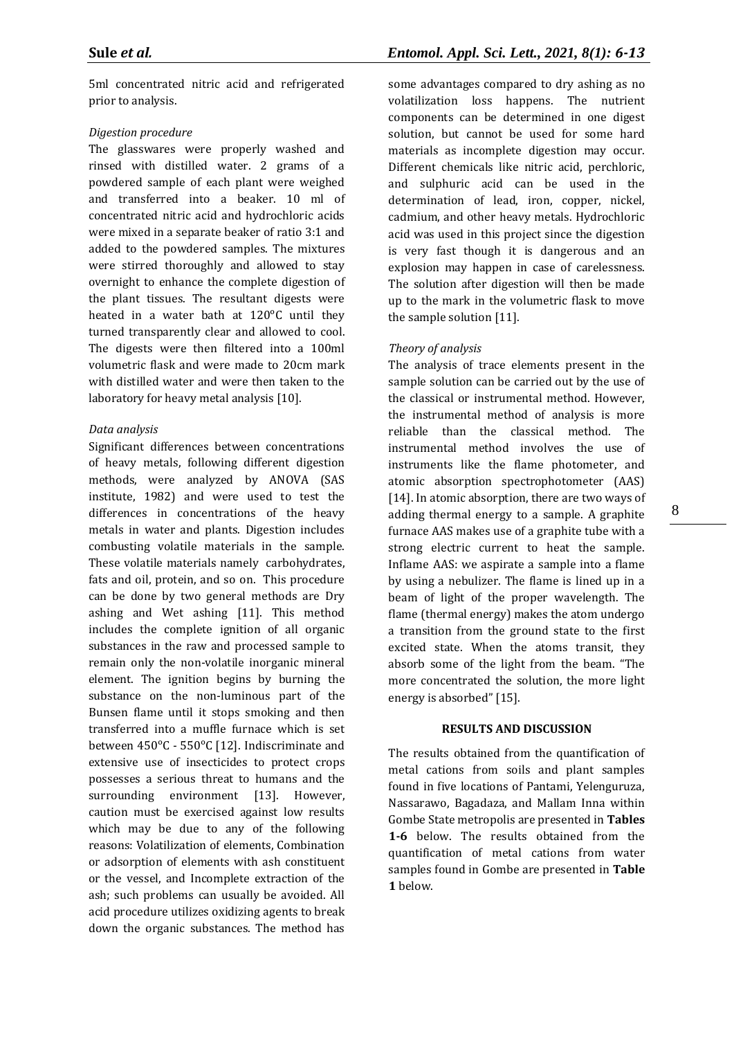5ml concentrated nitric acid and refrigerated prior to analysis.

#### *Digestion procedure*

The glasswares were properly washed and rinsed with distilled water. 2 grams of a powdered sample of each plant were weighed and transferred into a beaker. 10 ml of concentrated nitric acid and hydrochloric acids were mixed in a separate beaker of ratio 3:1 and added to the powdered samples. The mixtures were stirred thoroughly and allowed to stay overnight to enhance the complete digestion of the plant tissues. The resultant digests were heated in a water bath at 120°C until they turned transparently clear and allowed to cool. The digests were then filtered into a 100ml volumetric flask and were made to 20cm mark with distilled water and were then taken to the laboratory for heavy metal analysis [10].

#### *Data analysis*

Significant differences between concentrations of heavy metals, following different digestion methods, were analyzed by ANOVA (SAS institute, 1982) and were used to test the differences in concentrations of the heavy metals in water and plants. Digestion includes combusting volatile materials in the sample. These volatile materials namely carbohydrates, fats and oil, protein, and so on. This procedure can be done by two general methods are Dry ashing and Wet ashing [11]. This method includes the complete ignition of all organic substances in the raw and processed sample to remain only the non-volatile inorganic mineral element. The ignition begins by burning the substance on the non-luminous part of the Bunsen flame until it stops smoking and then transferred into a muffle furnace which is set between 450°C - 550°C [12]. Indiscriminate and extensive use of insecticides to protect crops possesses a serious threat to humans and the surrounding environment [13]. However, caution must be exercised against low results which may be due to any of the following reasons: Volatilization of elements, Combination or adsorption of elements with ash constituent or the vessel, and Incomplete extraction of the ash; such problems can usually be avoided. All acid procedure utilizes oxidizing agents to break down the organic substances. The method has

some advantages compared to dry ashing as no volatilization loss happens. The nutrient components can be determined in one digest solution, but cannot be used for some hard materials as incomplete digestion may occur. Different chemicals like nitric acid, perchloric, and sulphuric acid can be used in the determination of lead, iron, copper, nickel, cadmium, and other heavy metals. Hydrochloric acid was used in this project since the digestion is very fast though it is dangerous and an explosion may happen in case of carelessness. The solution after digestion will then be made up to the mark in the volumetric flask to move the sample solution [11].

# *Theory of analysis*

The analysis of trace elements present in the sample solution can be carried out by the use of the classical or instrumental method. However, the instrumental method of analysis is more reliable than the classical method. The instrumental method involves the use of instruments like the flame photometer, and atomic absorption spectrophotometer (AAS) [14]. In atomic absorption, there are two ways of adding thermal energy to a sample. A graphite furnace AAS makes use of a graphite tube with a strong electric current to heat the sample. Inflame AAS: we aspirate a sample into a flame by using a nebulizer. The flame is lined up in a beam of light of the proper wavelength. The flame (thermal energy) makes the atom undergo a transition from the ground state to the first excited state. When the atoms transit, they absorb some of the light from the beam. "The more concentrated the solution, the more light energy is absorbed" [15].

#### **RESULTS AND DISCUSSION**

The results obtained from the quantification of metal cations from soils and plant samples found in five locations of Pantami, Yelenguruza, Nassarawo, Bagadaza, and Mallam Inna within Gombe State metropolis are presented in **Tables 1-6** below. The results obtained from the quantification of metal cations from water samples found in Gombe are presented in **Table 1** below.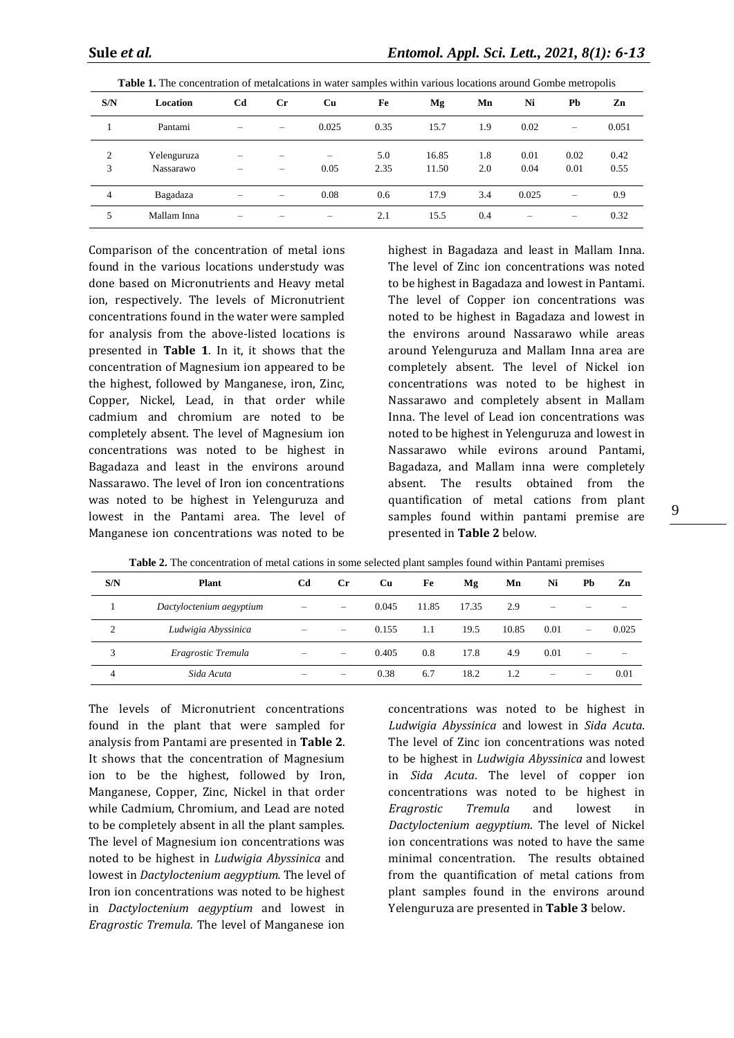| S/N    | Location                 | Cd | $_{\rm Cr}$ | Cu    | Fe          | Mg             | Mn         | Ni           | Pb           | Zn           |
|--------|--------------------------|----|-------------|-------|-------------|----------------|------------|--------------|--------------|--------------|
|        | Pantami                  |    |             | 0.025 | 0.35        | 15.7           | 1.9        | 0.02         |              | 0.051        |
| 2<br>3 | Yelenguruza<br>Nassarawo | -  |             | 0.05  | 5.0<br>2.35 | 16.85<br>11.50 | 1.8<br>2.0 | 0.01<br>0.04 | 0.02<br>0.01 | 0.42<br>0.55 |
| 4      | Bagadaza                 | -  |             | 0.08  | 0.6         | 17.9           | 3.4        | 0.025        |              | 0.9          |
| 5      | Mallam Inna              |    |             |       | 2.1         | 15.5           | 0.4        | -            | -            | 0.32         |

**Table 1.** The concentration of metalcations in water samples within various locations around Gombe metropolis

Comparison of the concentration of metal ions found in the various locations understudy was done based on Micronutrients and Heavy metal ion, respectively. The levels of Micronutrient concentrations found in the water were sampled for analysis from the above-listed locations is presented in **Table 1**. In it, it shows that the concentration of Magnesium ion appeared to be the highest, followed by Manganese, iron, Zinc, Copper, Nickel, Lead, in that order while cadmium and chromium are noted to be completely absent. The level of Magnesium ion concentrations was noted to be highest in Bagadaza and least in the environs around Nassarawo. The level of Iron ion concentrations was noted to be highest in Yelenguruza and lowest in the Pantami area. The level of Manganese ion concentrations was noted to be

highest in Bagadaza and least in Mallam Inna. The level of Zinc ion concentrations was noted to be highest in Bagadaza and lowest in Pantami. The level of Copper ion concentrations was noted to be highest in Bagadaza and lowest in the environs around Nassarawo while areas around Yelenguruza and Mallam Inna area are completely absent. The level of Nickel ion concentrations was noted to be highest in Nassarawo and completely absent in Mallam Inna. The level of Lead ion concentrations was noted to be highest in Yelenguruza and lowest in Nassarawo while evirons around Pantami, Bagadaza, and Mallam inna were completely absent. The results obtained from the quantification of metal cations from plant samples found within pantami premise are presented in **Table 2** below.

| S/N | <b>Plant</b>             | Cd | $_{\rm Cr}$                                                               | Cu    | Fe    | Mg    | Mn    | Ni   | Pb | Zn    |
|-----|--------------------------|----|---------------------------------------------------------------------------|-------|-------|-------|-------|------|----|-------|
|     | Dactyloctenium aegyptium | -  |                                                                           | 0.045 | 11.85 | 17.35 | 2.9   |      |    |       |
| 2   | Ludwigia Abyssinica      |    | $\hspace{0.05cm}$                                                         | 0.155 | 1.1   | 19.5  | 10.85 | 0.01 |    | 0.025 |
| 3   | Eragrostic Tremula       |    | $\hspace{1.0cm} \rule{1.5cm}{0.15cm} \hspace{1.0cm} \rule{1.5cm}{0.15cm}$ | 0.405 | 0.8   | 17.8  | 4.9   | 0.01 |    |       |
| 4   | Sida Acuta               |    |                                                                           | 0.38  | 6.7   | 18.2  | 1.2   |      |    | 0.01  |

**Table 2.** The concentration of metal cations in some selected plant samples found within Pantami premises

The levels of Micronutrient concentrations found in the plant that were sampled for analysis from Pantami are presented in **Table 2**. It shows that the concentration of Magnesium ion to be the highest, followed by Iron, Manganese, Copper, Zinc, Nickel in that order while Cadmium, Chromium, and Lead are noted to be completely absent in all the plant samples. The level of Magnesium ion concentrations was noted to be highest in *Ludwigia Abyssinica* and lowest in *Dactyloctenium aegyptium.* The level of Iron ion concentrations was noted to be highest in *Dactyloctenium aegyptium* and lowest in *Eragrostic Tremula.* The level of Manganese ion

concentrations was noted to be highest in *Ludwigia Abyssinica* and lowest in *Sida Acuta*. The level of Zinc ion concentrations was noted to be highest in *Ludwigia Abyssinica* and lowest in *Sida Acuta*. The level of copper ion concentrations was noted to be highest in *Eragrostic Tremula* and lowest in *Dactyloctenium aegyptium*. The level of Nickel ion concentrations was noted to have the same minimal concentration. The results obtained from the quantification of metal cations from plant samples found in the environs around Yelenguruza are presented in **Table 3** below.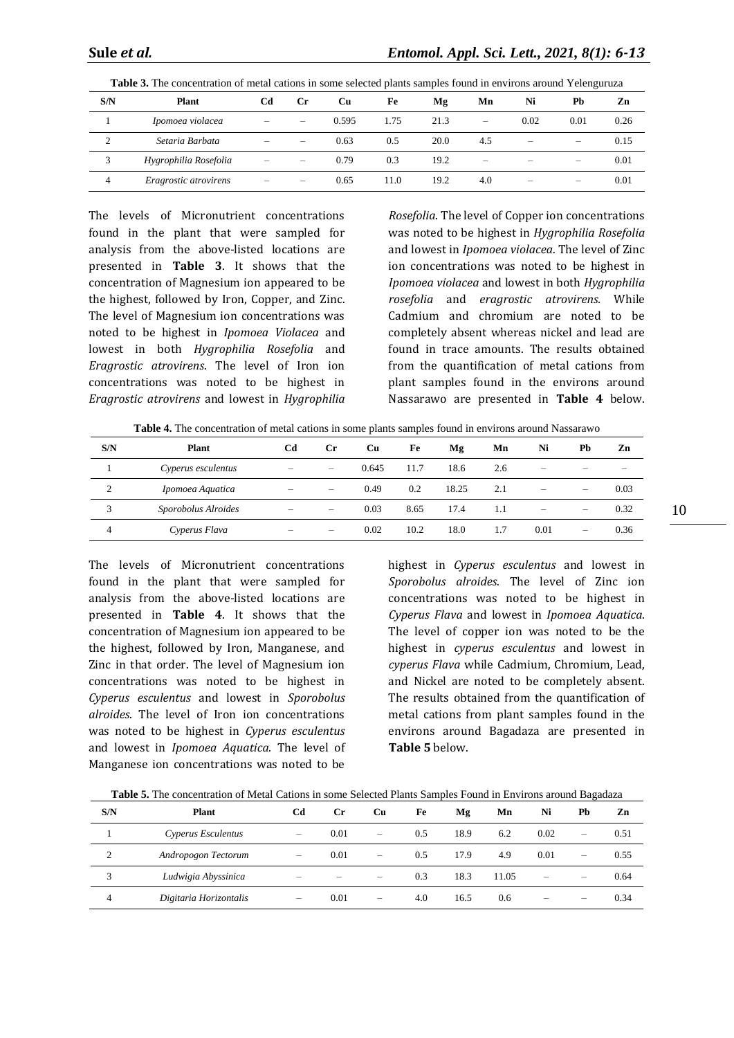| S/N             | <b>Plant</b>          | Cd | Cr.                             | Cu    | Fe   | Mg   | Mn                                                                        | Ni                       | Pb                       | Zn   |
|-----------------|-----------------------|----|---------------------------------|-------|------|------|---------------------------------------------------------------------------|--------------------------|--------------------------|------|
|                 | Ipomoea violacea      | -  | $\hspace{0.1mm}-\hspace{0.1mm}$ | 0.595 | 1.75 | 21.3 | $\hspace{1.0cm} \rule{1.5cm}{0.15cm} \hspace{1.0cm} \rule{1.5cm}{0.15cm}$ | 0.02                     | 0.01                     | 0.26 |
| $\bigcirc$<br>∸ | Setaria Barbata       | -  | $\overline{\phantom{a}}$        | 0.63  | 0.5  | 20.0 | 4.5                                                                       | -                        | $\overline{\phantom{a}}$ | 0.15 |
| 3               | Hygrophilia Rosefolia | -  | $\sim$                          | 0.79  | 0.3  | 19.2 | $\overline{\phantom{0}}$                                                  | -                        |                          | 0.01 |
| 4               | Eragrostic atrovirens | -  | $\sim$                          | 0.65  | 11.0 | 19.2 | 4.0                                                                       | $\overline{\phantom{a}}$ | $\overline{\phantom{a}}$ | 0.01 |

**Table 3.** The concentration of metal cations in some selected plants samples found in environs around Yelenguruza

The levels of Micronutrient concentrations found in the plant that were sampled for analysis from the above-listed locations are presented in **Table 3**. It shows that the concentration of Magnesium ion appeared to be the highest, followed by Iron, Copper, and Zinc. The level of Magnesium ion concentrations was noted to be highest in *Ipomoea Violacea* and lowest in both *Hygrophilia Rosefolia* and *Eragrostic atrovirens*. The level of Iron ion concentrations was noted to be highest in *Eragrostic atrovirens* and lowest in *Hygrophilia* 

*Rosefolia*. The level of Copper ion concentrations was noted to be highest in *Hygrophilia Rosefolia* and lowest in *Ipomoea violacea*. The level of Zinc ion concentrations was noted to be highest in *Ipomoea violacea* and lowest in both *Hygrophilia rosefolia* and *eragrostic atrovirens.* While Cadmium and chromium are noted to be completely absent whereas nickel and lead are found in trace amounts. The results obtained from the quantification of metal cations from plant samples found in the environs around Nassarawo are presented in **Table 4** below.

**Table 4.** The concentration of metal cations in some plants samples found in environs around Nassarawo

| S/N                | <b>Plant</b>        | Cd                       | <b>Cr</b>                       | Cu    | Fe   | Mg    | Mn  | Ni                       | Pb                       | Zn     |
|--------------------|---------------------|--------------------------|---------------------------------|-------|------|-------|-----|--------------------------|--------------------------|--------|
|                    | Cyperus esculentus  | $\overline{\phantom{a}}$ |                                 | 0.645 | 11.7 | 18.6  | 2.6 |                          |                          | $\sim$ |
| $\mathcal{D}$<br>∠ | Ipomoea Aquatica    | $\overline{\phantom{a}}$ | $\hspace{0.1mm}-\hspace{0.1mm}$ | 0.49  | 0.2  | 18.25 | 2.1 | $\overline{\phantom{0}}$ | $\overline{\phantom{a}}$ | 0.03   |
| 3                  | Sporobolus Alroides | $\overline{\phantom{a}}$ |                                 | 0.03  | 8.65 | 17.4  | 1.1 | $\overline{\phantom{0}}$ | $\hspace{0.05cm}$        | 0.32   |
| 4                  | Cyperus Flava       | -                        |                                 | 0.02  | 10.2 | 18.0  | 1.7 | 0.01                     | $\overline{\phantom{0}}$ | 0.36   |

The levels of Micronutrient concentrations found in the plant that were sampled for analysis from the above-listed locations are presented in **Table 4**. It shows that the concentration of Magnesium ion appeared to be the highest, followed by Iron, Manganese, and Zinc in that order. The level of Magnesium ion concentrations was noted to be highest in *Cyperus esculentus* and lowest in *Sporobolus alroides*. The level of Iron ion concentrations was noted to be highest in *Cyperus esculentus* and lowest in *Ipomoea Aquatica*. The level of Manganese ion concentrations was noted to be

highest in *Cyperus esculentus* and lowest in *Sporobolus alroides*. The level of Zinc ion concentrations was noted to be highest in *Cyperus Flava* and lowest in *Ipomoea Aquatica*. The level of copper ion was noted to be the highest in *cyperus esculentus* and lowest in *cyperus Flava* while Cadmium, Chromium, Lead, and Nickel are noted to be completely absent. The results obtained from the quantification of metal cations from plant samples found in the environs around Bagadaza are presented in **Table 5** below.

| S/N | <b>Plant</b>           | Cd                       | Cr.  | Cu                       | Fe  | Mg   | Mn    | Ni   | Pb                       | Zn   |
|-----|------------------------|--------------------------|------|--------------------------|-----|------|-------|------|--------------------------|------|
|     | Cyperus Esculentus     |                          | 0.01 | $\overline{\phantom{a}}$ | 0.5 | 18.9 | 6.2   | 0.02 | -                        | 0.51 |
|     | Andropogon Tectorum    | -                        | 0.01 | $\overline{\phantom{a}}$ | 0.5 | 17.9 | 4.9   | 0.01 | $\overline{\phantom{a}}$ | 0.55 |
| 3   | Ludwigia Abyssinica    |                          |      |                          | 0.3 | 18.3 | 11.05 | -    |                          | 0.64 |
| 4   | Digitaria Horizontalis | $\overline{\phantom{a}}$ | 0.01 | $\overline{\phantom{0}}$ | 4.0 | 16.5 | 0.6   |      |                          | 0.34 |

**Table 5.** The concentration of Metal Cations in some Selected Plants Samples Found in Environs around Bagadaza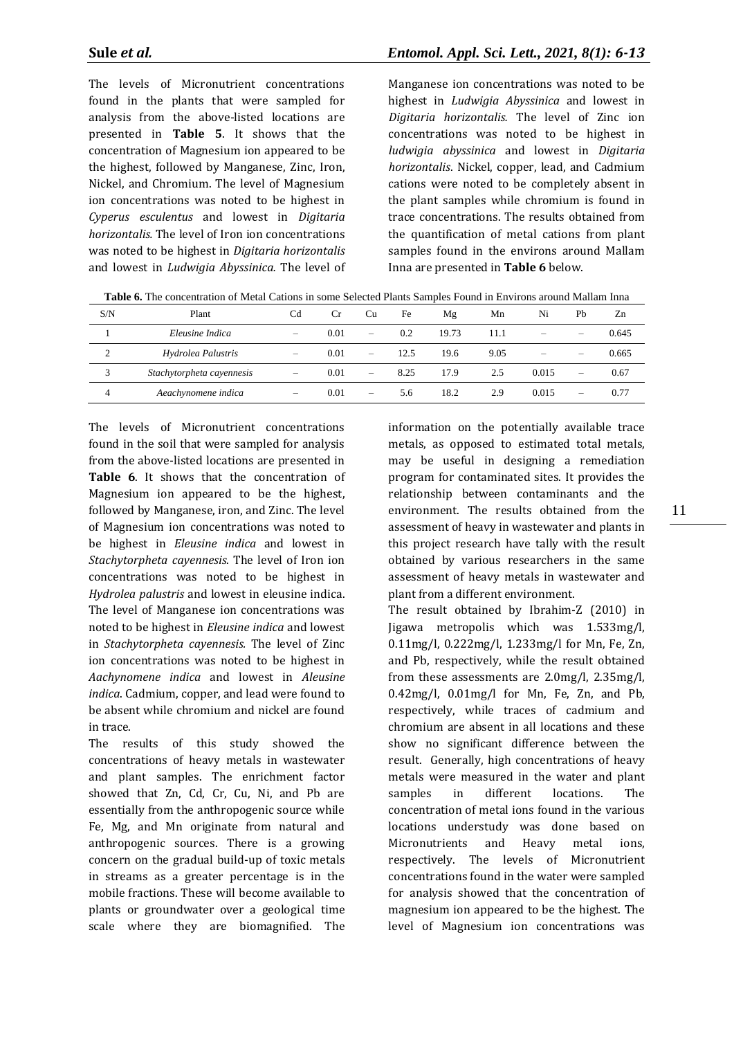The levels of Micronutrient concentrations found in the plants that were sampled for analysis from the above-listed locations are presented in **Table 5**. It shows that the concentration of Magnesium ion appeared to be the highest, followed by Manganese, Zinc, Iron, Nickel, and Chromium. The level of Magnesium ion concentrations was noted to be highest in *Cyperus esculentus* and lowest in *Digitaria horizontalis.* The level of Iron ion concentrations was noted to be highest in *Digitaria horizontalis* and lowest in *Ludwigia Abyssinica.* The level of

Manganese ion concentrations was noted to be highest in *Ludwigia Abyssinica* and lowest in *Digitaria horizontalis.* The level of Zinc ion concentrations was noted to be highest in *ludwigia abyssinica* and lowest in *Digitaria horizontalis*. Nickel, copper, lead, and Cadmium cations were noted to be completely absent in the plant samples while chromium is found in trace concentrations. The results obtained from the quantification of metal cations from plant samples found in the environs around Mallam Inna are presented in **Table 6** below.

**Table 6.** The concentration of Metal Cations in some Selected Plants Samples Found in Environs around Mallam Inna

| S/N                | Plant                     | C <sub>d</sub>                  | Сr   | Cu                | Fe   | Mg    | Mn   | Ni    | Pb | Zn    |
|--------------------|---------------------------|---------------------------------|------|-------------------|------|-------|------|-------|----|-------|
|                    | Eleusine Indica           | $\hspace{0.1mm}-\hspace{0.1mm}$ | 0.01 | -                 | 0.2  | 19.73 | 11.1 | -     |    | 0.645 |
| $\mathcal{L}$<br>∠ | Hydrolea Palustris        | $\hspace{0.05cm}$               | 0.01 | $\hspace{0.05cm}$ | 12.5 | 19.6  | 9.05 |       |    | 0.665 |
| 3                  | Stachytorpheta cayennesis | $\hspace{0.05cm}$               | 0.01 | $\hspace{0.05cm}$ | 8.25 | 17.9  | 2.5  | 0.015 |    | 0.67  |
| 4                  | Aeachynomene indica       | $\hspace{0.05cm}$               | 0.01 |                   | 5.6  | 18.2  | 2.9  | 0.015 |    | 0.77  |

The levels of Micronutrient concentrations found in the soil that were sampled for analysis from the above-listed locations are presented in **Table 6**. It shows that the concentration of Magnesium ion appeared to be the highest, followed by Manganese, iron, and Zinc. The level of Magnesium ion concentrations was noted to be highest in *Eleusine indica* and lowest in *Stachytorpheta cayennesis*. The level of Iron ion concentrations was noted to be highest in *Hydrolea palustris* and lowest in eleusine indica. The level of Manganese ion concentrations was noted to be highest in *Eleusine indica* and lowest in *Stachytorpheta cayennesis.* The level of Zinc ion concentrations was noted to be highest in *Aachynomene indica* and lowest in *Aleusine indica*. Cadmium, copper, and lead were found to be absent while chromium and nickel are found in trace.

The results of this study showed the concentrations of heavy metals in wastewater and plant samples. The enrichment factor showed that Zn, Cd, Cr, Cu, Ni, and Pb are essentially from the anthropogenic source while Fe, Mg, and Mn originate from natural and anthropogenic sources. There is a growing concern on the gradual build-up of toxic metals in streams as a greater percentage is in the mobile fractions. These will become available to plants or groundwater over a geological time scale where they are biomagnified. The

information on the potentially available trace metals, as opposed to estimated total metals, may be useful in designing a remediation program for contaminated sites. It provides the relationship between contaminants and the environment. The results obtained from the assessment of heavy in wastewater and plants in this project research have tally with the result obtained by various researchers in the same assessment of heavy metals in wastewater and plant from a different environment.

The result obtained by Ibrahim-Z (2010) in Jigawa metropolis which was 1.533mg/l, 0.11mg/l, 0.222mg/l, 1.233mg/l for Mn, Fe, Zn, and Pb, respectively, while the result obtained from these assessments are 2.0mg/l, 2.35mg/l, 0.42mg/l, 0.01mg/l for Mn, Fe, Zn, and Pb, respectively, while traces of cadmium and chromium are absent in all locations and these show no significant difference between the result. Generally, high concentrations of heavy metals were measured in the water and plant samples in different locations. The concentration of metal ions found in the various locations understudy was done based on Micronutrients and Heavy metal ions, respectively. The levels of Micronutrient concentrations found in the water were sampled for analysis showed that the concentration of magnesium ion appeared to be the highest. The level of Magnesium ion concentrations was

11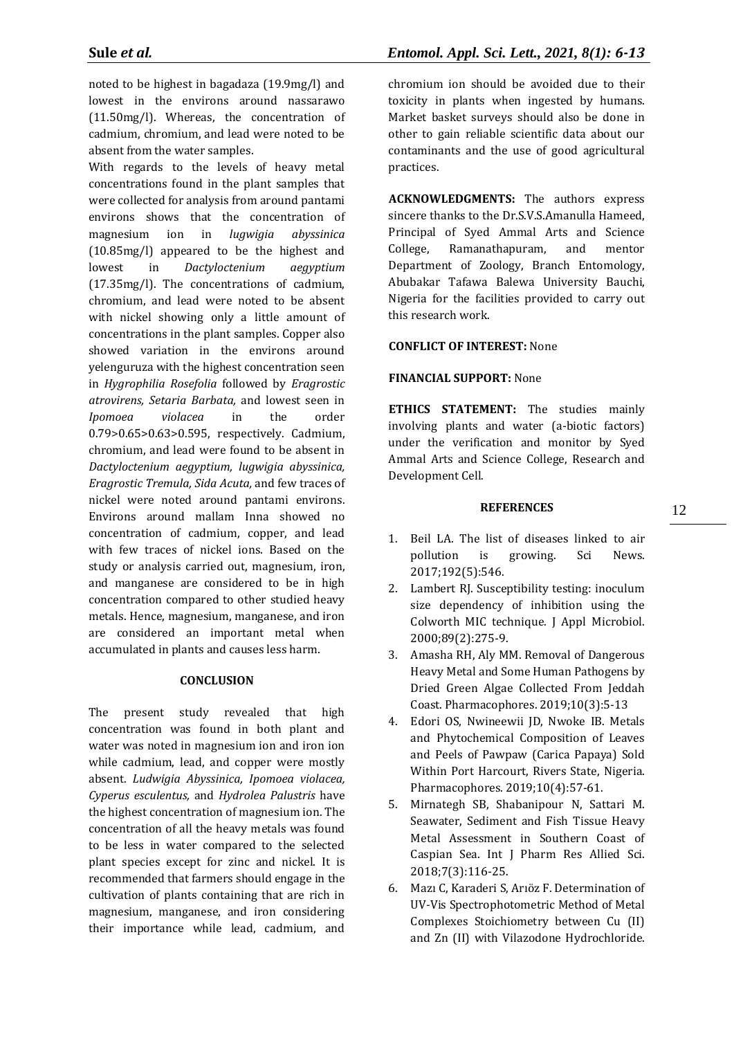noted to be highest in bagadaza (19.9mg/l) and lowest in the environs around nassarawo (11.50mg/l). Whereas, the concentration of cadmium, chromium, and lead were noted to be absent from the water samples.

With regards to the levels of heavy metal concentrations found in the plant samples that were collected for analysis from around pantami environs shows that the concentration of magnesium ion in *lugwigia abyssinica*  (10.85mg/l) appeared to be the highest and lowest in *Dactyloctenium aegyptium*  (17.35mg/l). The concentrations of cadmium, chromium, and lead were noted to be absent with nickel showing only a little amount of concentrations in the plant samples. Copper also showed variation in the environs around yelenguruza with the highest concentration seen in *Hygrophilia Rosefolia* followed by *Eragrostic atrovirens, Setaria Barbata,* and lowest seen in *Ipomoea violacea* in the order 0.79>0.65>0.63>0.595, respectively. Cadmium, chromium, and lead were found to be absent in *Dactyloctenium aegyptium, lugwigia abyssinica, Eragrostic Tremula, Sida Acuta,* and few traces of nickel were noted around pantami environs. Environs around mallam Inna showed no concentration of cadmium, copper, and lead with few traces of nickel ions. Based on the study or analysis carried out, magnesium, iron, and manganese are considered to be in high concentration compared to other studied heavy metals. Hence, magnesium, manganese, and iron are considered an important metal when accumulated in plants and causes less harm.

# **CONCLUSION**

The present study revealed that high concentration was found in both plant and water was noted in magnesium ion and iron ion while cadmium, lead, and copper were mostly absent. *Ludwigia Abyssinica, Ipomoea violacea, Cyperus esculentus,* and *Hydrolea Palustris* have the highest concentration of magnesium ion. The concentration of all the heavy metals was found to be less in water compared to the selected plant species except for zinc and nickel. It is recommended that farmers should engage in the cultivation of plants containing that are rich in magnesium, manganese, and iron considering their importance while lead, cadmium, and

chromium ion should be avoided due to their toxicity in plants when ingested by humans. Market basket surveys should also be done in other to gain reliable scientific data about our contaminants and the use of good agricultural practices.

**ACKNOWLEDGMENTS:** The authors express sincere thanks to the Dr.S.V.S.Amanulla Hameed, Principal of Syed Ammal Arts and Science College, Ramanathapuram, and mentor Department of Zoology, Branch Entomology, Abubakar Tafawa Balewa University Bauchi, Nigeria for the facilities provided to carry out this research work.

## **CONFLICT OF INTEREST:** None

## **FINANCIAL SUPPORT:** None

**ETHICS STATEMENT:** The studies mainly involving plants and water (a-biotic factors) under the verification and monitor by Syed Ammal Arts and Science College, Research and Development Cell.

#### **REFERENCES**

- 1. Beil LA. The list of diseases linked to air pollution is growing. Sci News. 2017;192(5):546.
- 2. Lambert RJ. Susceptibility testing: inoculum size dependency of inhibition using the Colworth MIC technique. J Appl Microbiol. 2000;89(2):275-9.
- 3. Amasha RH, Aly MM. Removal of Dangerous Heavy Metal and Some Human Pathogens by Dried Green Algae Collected From Jeddah Coast. Pharmacophores. 2019;10(3):5-13
- 4. Edori OS, Nwineewii JD, Nwoke IB. Metals and Phytochemical Composition of Leaves and Peels of Pawpaw (Carica Papaya) Sold Within Port Harcourt, Rivers State, Nigeria. Pharmacophores. 2019;10(4):57-61.
- 5. Mirnategh SB, Shabanipour N, Sattari M. Seawater, Sediment and Fish Tissue Heavy Metal Assessment in Southern Coast of Caspian Sea. Int J Pharm Res Allied Sci. 2018;7(3):116-25.
- 6. Mazı C, Karaderi S, Arıöz F. Determination of UV-Vis Spectrophotometric Method of Metal Complexes Stoichiometry between Cu (II) and Zn (II) with Vilazodone Hydrochloride.